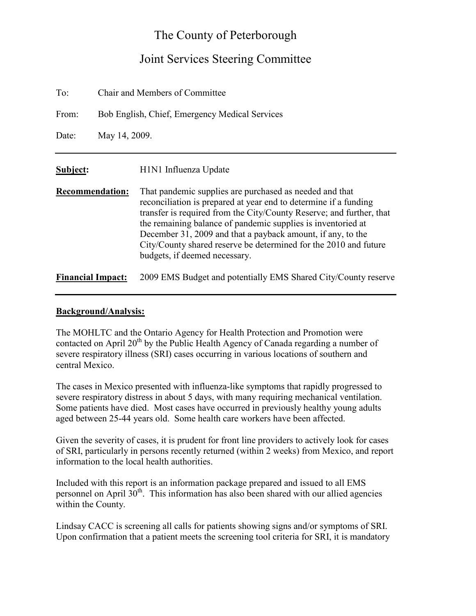## The County of Peterborough

## Joint Services Steering Committee

| To:                      | <b>Chair and Members of Committee</b>          |                                                                                                                                                                                                                                                                                                                                                                                                                                         |
|--------------------------|------------------------------------------------|-----------------------------------------------------------------------------------------------------------------------------------------------------------------------------------------------------------------------------------------------------------------------------------------------------------------------------------------------------------------------------------------------------------------------------------------|
| From:                    | Bob English, Chief, Emergency Medical Services |                                                                                                                                                                                                                                                                                                                                                                                                                                         |
| Date:                    | May 14, 2009.                                  |                                                                                                                                                                                                                                                                                                                                                                                                                                         |
| Subject:                 |                                                | H <sub>1</sub> N <sub>1</sub> Influenza Update                                                                                                                                                                                                                                                                                                                                                                                          |
| <b>Recommendation:</b>   |                                                | That pandemic supplies are purchased as needed and that<br>reconciliation is prepared at year end to determine if a funding<br>transfer is required from the City/County Reserve; and further, that<br>the remaining balance of pandemic supplies is inventoried at<br>December 31, 2009 and that a payback amount, if any, to the<br>City/County shared reserve be determined for the 2010 and future<br>budgets, if deemed necessary. |
| <b>Financial Impact:</b> |                                                | 2009 EMS Budget and potentially EMS Shared City/County reserve                                                                                                                                                                                                                                                                                                                                                                          |

## Background/Analysis:

The MOHLTC and the Ontario Agency for Health Protection and Promotion were contacted on April  $20<sup>th</sup>$  by the Public Health Agency of Canada regarding a number of severe respiratory illness (SRI) cases occurring in various locations of southern and central Mexico.

The cases in Mexico presented with influenza-like symptoms that rapidly progressed to severe respiratory distress in about 5 days, with many requiring mechanical ventilation. Some patients have died. Most cases have occurred in previously healthy young adults aged between 25-44 years old. Some health care workers have been affected.

Given the severity of cases, it is prudent for front line providers to actively look for cases of SRI, particularly in persons recently returned (within 2 weeks) from Mexico, and report information to the local health authorities.

Included with this report is an information package prepared and issued to all EMS personnel on April  $30<sup>th</sup>$ . This information has also been shared with our allied agencies within the County.

Lindsay CACC is screening all calls for patients showing signs and/or symptoms of SRI. Upon confirmation that a patient meets the screening tool criteria for SRI, it is mandatory